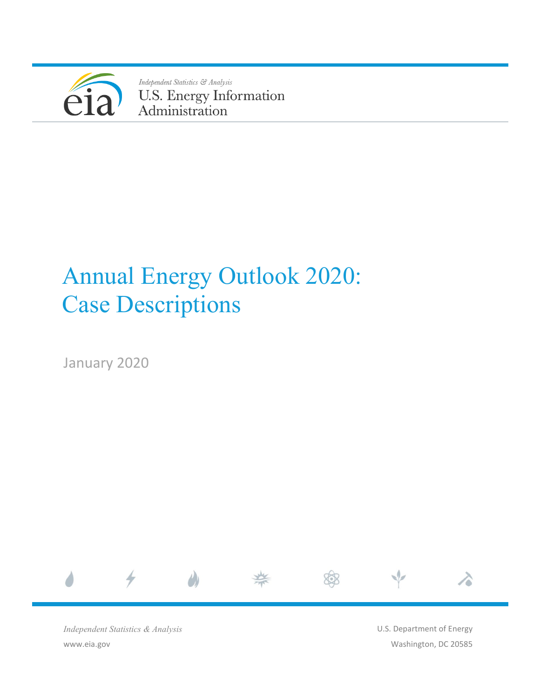

Independent Statistics & Analysis U.S. Energy Information<br>Administration

# Annual Energy Outlook 2020: Case Descriptions

January 2020



*Independent Statistics & Analysis* www.eia.gov

U.S. Department of Energy Washington, DC 20585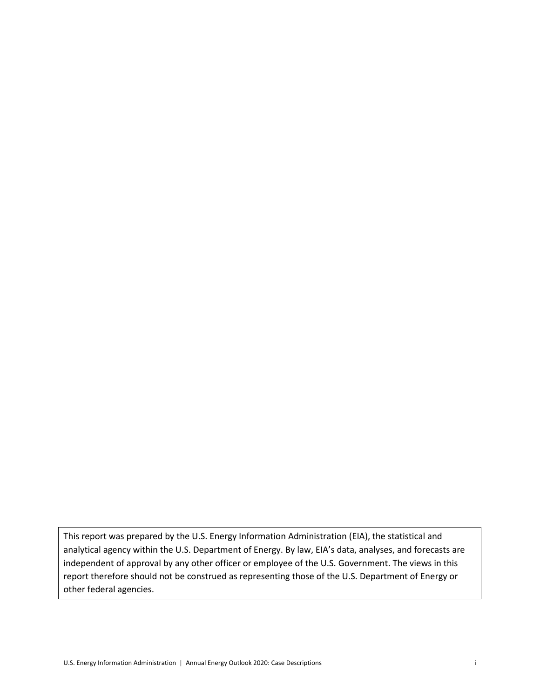This report was prepared by the U.S. Energy Information Administration (EIA), the statistical and analytical agency within the U.S. Department of Energy. By law, EIA's data, analyses, and forecasts are independent of approval by any other officer or employee of the U.S. Government. The views in this report therefore should not be construed as representing those of the U.S. Department of Energy or other federal agencies.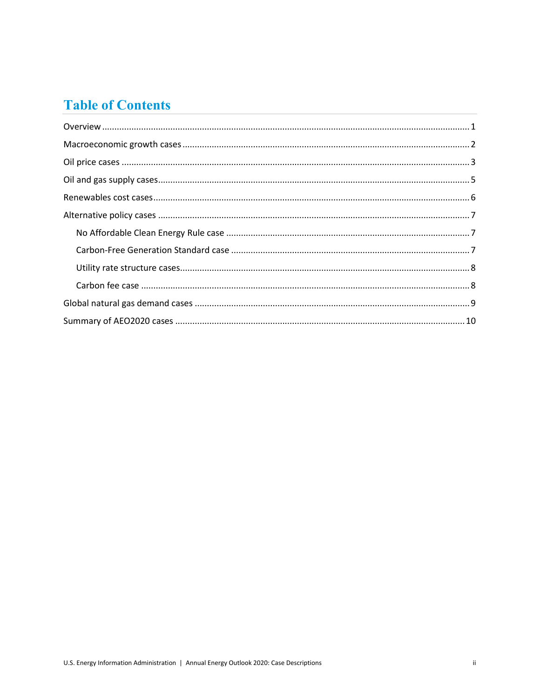# **Table of Contents**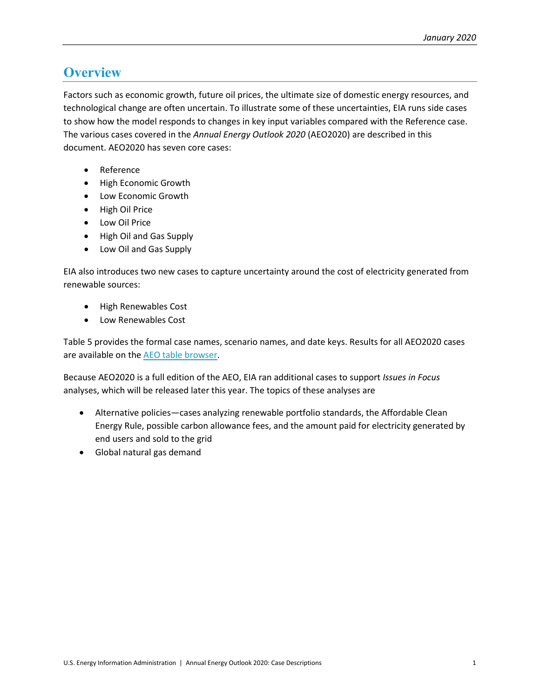### <span id="page-3-0"></span>**Overview**

Factors such as economic growth, future oil prices, the ultimate size of domestic energy resources, and technological change are often uncertain. To illustrate some of these uncertainties, EIA runs side cases to show how the model responds to changes in key input variables compared with the Reference case. The various cases covered in the *Annual Energy Outlook 2020* (AEO2020) are described in this document. AEO2020 has seven core cases:

- **Reference**
- High Economic Growth
- Low Economic Growth
- High Oil Price
- Low Oil Price
- High Oil and Gas Supply
- Low Oil and Gas Supply

EIA also introduces two new cases to capture uncertainty around the cost of electricity generated from renewable sources:

- High Renewables Cost
- Low Renewables Cost

[Table 5](#page-12-1) provides the formal case names, scenario names, and date keys. Results for all AEO2020 cases are available on th[e AEO table browser.](https://www.eia.gov/outlooks/aeo/data/browser/)

Because AEO2020 is a full edition of the AEO, EIA ran additional cases to support *Issues in Focus* analyses, which will be released later this year. The topics of these analyses are

- Alternative policies—cases analyzing renewable portfolio standards, the Affordable Clean Energy Rule, possible carbon allowance fees, and the amount paid for electricity generated by end users and sold to the grid
- Global natural gas demand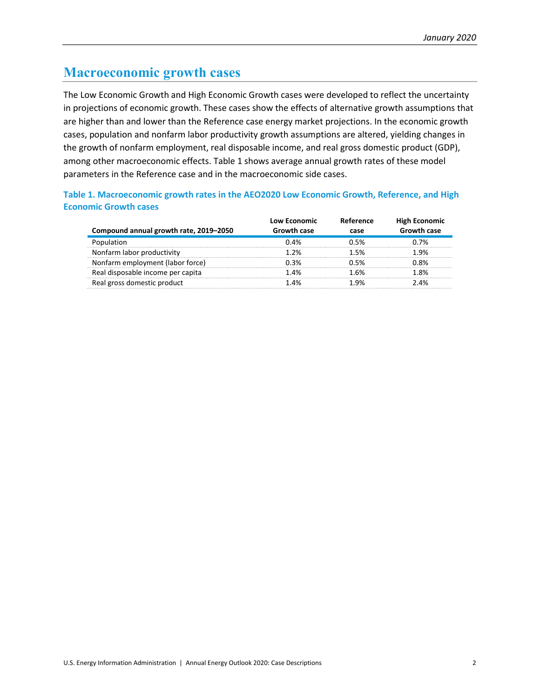### <span id="page-4-0"></span>**Macroeconomic growth cases**

The Low Economic Growth and High Economic Growth cases were developed to reflect the uncertainty in projections of economic growth. These cases show the effects of alternative growth assumptions that are higher than and lower than the Reference case energy market projections. In the economic growth cases, population and nonfarm labor productivity growth assumptions are altered, yielding changes in the growth of nonfarm employment, real disposable income, and real gross domestic product (GDP), among other macroeconomic effects. [Table 1](#page-4-1) shows average annual growth rates of these model parameters in the Reference case and in the macroeconomic side cases.

#### <span id="page-4-1"></span>**Table 1. Macroeconomic growth rates in the AEO2020 Low Economic Growth, Reference, and High Economic Growth cases**

| Compound annual growth rate, 2019-2050 | Low Economic<br>Growth case | Reference<br>case | <b>High Economic</b><br><b>Growth case</b> |
|----------------------------------------|-----------------------------|-------------------|--------------------------------------------|
|                                        | በ 4%                        | 1.5%              | ገ 7%                                       |
| Nonfarm labor productivity             | 1 ን%                        | 1 5%              | ነ ዓ%                                       |
| Nonfarm employment (labor force)       |                             |                   | 8%                                         |
| Real disposable income per capita      | 4%                          | 6%                | 8%                                         |
| Real gross domestic product            | 4%                          |                   | 4%                                         |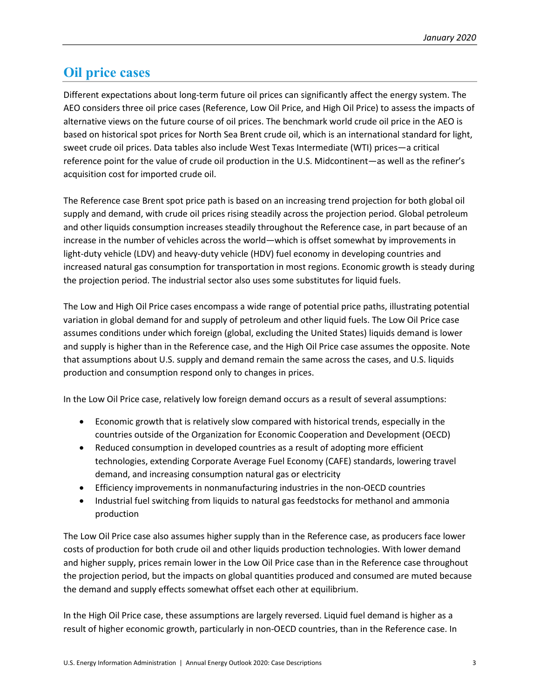### <span id="page-5-0"></span>**Oil price cases**

Different expectations about long-term future oil prices can significantly affect the energy system. The AEO considers three oil price cases (Reference, Low Oil Price, and High Oil Price) to assess the impacts of alternative views on the future course of oil prices. The benchmark world crude oil price in the AEO is based on historical spot prices for North Sea Brent crude oil, which is an international standard for light, sweet crude oil prices. Data tables also include West Texas Intermediate (WTI) prices—a critical reference point for the value of crude oil production in the U.S. Midcontinent—as well as the refiner's acquisition cost for imported crude oil.

The Reference case Brent spot price path is based on an increasing trend projection for both global oil supply and demand, with crude oil prices rising steadily across the projection period. Global petroleum and other liquids consumption increases steadily throughout the Reference case, in part because of an increase in the number of vehicles across the world—which is offset somewhat by improvements in light-duty vehicle (LDV) and heavy-duty vehicle (HDV) fuel economy in developing countries and increased natural gas consumption for transportation in most regions. Economic growth is steady during the projection period. The industrial sector also uses some substitutes for liquid fuels.

The Low and High Oil Price cases encompass a wide range of potential price paths, illustrating potential variation in global demand for and supply of petroleum and other liquid fuels. The Low Oil Price case assumes conditions under which foreign (global, excluding the United States) liquids demand is lower and supply is higher than in the Reference case, and the High Oil Price case assumes the opposite. Note that assumptions about U.S. supply and demand remain the same across the cases, and U.S. liquids production and consumption respond only to changes in prices.

In the Low Oil Price case, relatively low foreign demand occurs as a result of several assumptions:

- Economic growth that is relatively slow compared with historical trends, especially in the countries outside of the Organization for Economic Cooperation and Development (OECD)
- Reduced consumption in developed countries as a result of adopting more efficient technologies, extending Corporate Average Fuel Economy (CAFE) standards, lowering travel demand, and increasing consumption natural gas or electricity
- Efficiency improvements in nonmanufacturing industries in the non-OECD countries
- Industrial fuel switching from liquids to natural gas feedstocks for methanol and ammonia production

The Low Oil Price case also assumes higher supply than in the Reference case, as producers face lower costs of production for both crude oil and other liquids production technologies. With lower demand and higher supply, prices remain lower in the Low Oil Price case than in the Reference case throughout the projection period, but the impacts on global quantities produced and consumed are muted because the demand and supply effects somewhat offset each other at equilibrium.

In the High Oil Price case, these assumptions are largely reversed. Liquid fuel demand is higher as a result of higher economic growth, particularly in non-OECD countries, than in the Reference case. In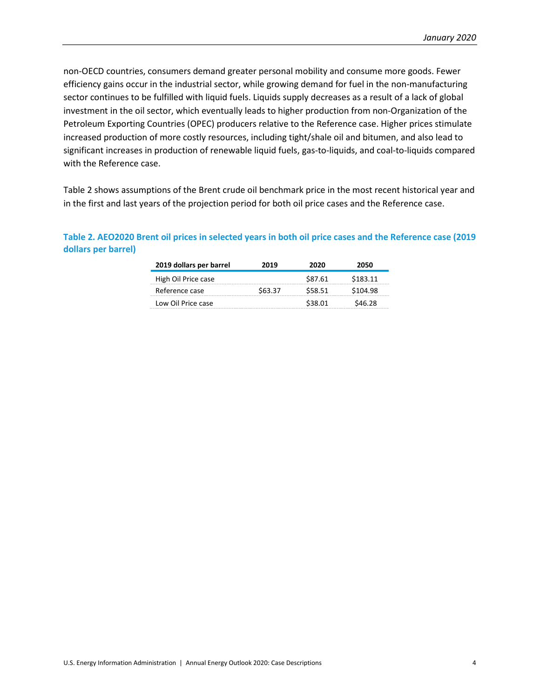non-OECD countries, consumers demand greater personal mobility and consume more goods. Fewer efficiency gains occur in the industrial sector, while growing demand for fuel in the non-manufacturing sector continues to be fulfilled with liquid fuels. Liquids supply decreases as a result of a lack of global investment in the oil sector, which eventually leads to higher production from non-Organization of the Petroleum Exporting Countries (OPEC) producers relative to the Reference case. Higher prices stimulate increased production of more costly resources, including tight/shale oil and bitumen, and also lead to significant increases in production of renewable liquid fuels, gas-to-liquids, and coal-to-liquids compared with the Reference case.

[Table 2](#page-6-0) shows assumptions of the Brent crude oil benchmark price in the most recent historical year and in the first and last years of the projection period for both oil price cases and the Reference case.

| 2019 dollars per barrel | 2019    | 2020    | 2050     |
|-------------------------|---------|---------|----------|
| High Oil Price case     |         | \$87.61 | \$183.11 |
| Reference case          | \$63.37 | \$58.51 | \$104.98 |
| Low Oil Price case      |         | \$38.01 | S46 28   |

#### <span id="page-6-0"></span>**Table 2. AEO2020 Brent oil prices in selected years in both oil price cases and the Reference case (2019 dollars per barrel)**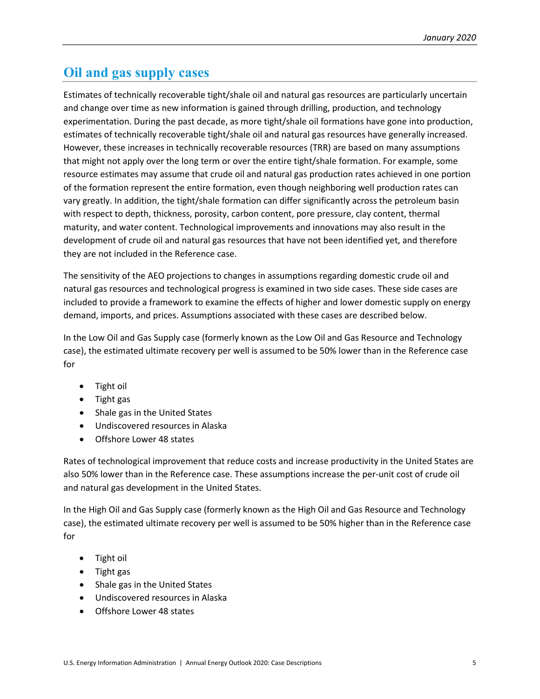## <span id="page-7-0"></span>**Oil and gas supply cases**

Estimates of technically recoverable tight/shale oil and natural gas resources are particularly uncertain and change over time as new information is gained through drilling, production, and technology experimentation. During the past decade, as more tight/shale oil formations have gone into production, estimates of technically recoverable tight/shale oil and natural gas resources have generally increased. However, these increases in technically recoverable resources (TRR) are based on many assumptions that might not apply over the long term or over the entire tight/shale formation. For example, some resource estimates may assume that crude oil and natural gas production rates achieved in one portion of the formation represent the entire formation, even though neighboring well production rates can vary greatly. In addition, the tight/shale formation can differ significantly across the petroleum basin with respect to depth, thickness, porosity, carbon content, pore pressure, clay content, thermal maturity, and water content. Technological improvements and innovations may also result in the development of crude oil and natural gas resources that have not been identified yet, and therefore they are not included in the Reference case.

The sensitivity of the AEO projections to changes in assumptions regarding domestic crude oil and natural gas resources and technological progress is examined in two side cases. These side cases are included to provide a framework to examine the effects of higher and lower domestic supply on energy demand, imports, and prices. Assumptions associated with these cases are described below.

In the Low Oil and Gas Supply case (formerly known as the Low Oil and Gas Resource and Technology case), the estimated ultimate recovery per well is assumed to be 50% lower than in the Reference case for

- Tight oil
- Tight gas
- Shale gas in the United States
- Undiscovered resources in Alaska
- Offshore Lower 48 states

Rates of technological improvement that reduce costs and increase productivity in the United States are also 50% lower than in the Reference case. These assumptions increase the per-unit cost of crude oil and natural gas development in the United States.

In the High Oil and Gas Supply case (formerly known as the High Oil and Gas Resource and Technology case), the estimated ultimate recovery per well is assumed to be 50% higher than in the Reference case for

- Tight oil
- Tight gas
- Shale gas in the United States
- Undiscovered resources in Alaska
- Offshore Lower 48 states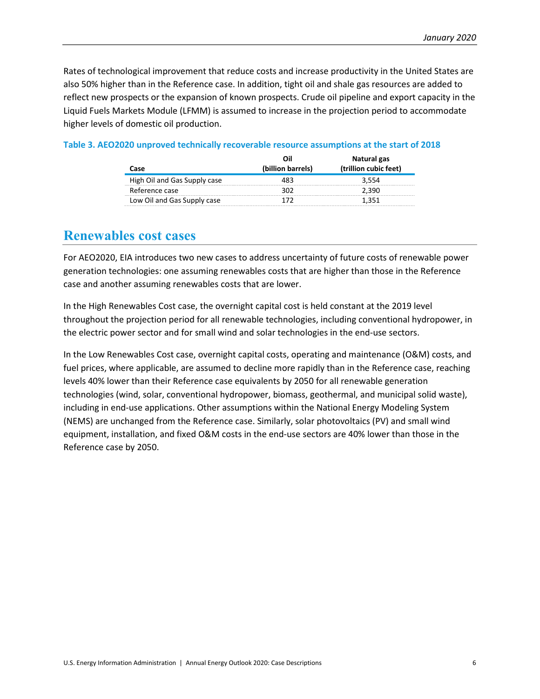Rates of technological improvement that reduce costs and increase productivity in the United States are also 50% higher than in the Reference case. In addition, tight oil and shale gas resources are added to reflect new prospects or the expansion of known prospects. Crude oil pipeline and export capacity in the Liquid Fuels Markets Module (LFMM) is assumed to increase in the projection period to accommodate higher levels of domestic oil production.

| Case                         | Oil<br>(billion barrels) | Natural gas<br>(trillion cubic feet) |
|------------------------------|--------------------------|--------------------------------------|
| High Oil and Gas Supply case |                          | 3.554                                |
| Reference case               | כמצ                      | 2.390                                |
| Low Oil and Gas Supply case  | 177                      | 1.351                                |

#### **Table 3. AEO2020 unproved technically recoverable resource assumptions at the start of 2018**

#### <span id="page-8-0"></span>**Renewables cost cases**

For AEO2020, EIA introduces two new cases to address uncertainty of future costs of renewable power generation technologies: one assuming renewables costs that are higher than those in the Reference case and another assuming renewables costs that are lower.

In the High Renewables Cost case, the overnight capital cost is held constant at the 2019 level throughout the projection period for all renewable technologies, including conventional hydropower, in the electric power sector and for small wind and solar technologies in the end-use sectors.

In the Low Renewables Cost case, overnight capital costs, operating and maintenance (O&M) costs, and fuel prices, where applicable, are assumed to decline more rapidly than in the Reference case, reaching levels 40% lower than their Reference case equivalents by 2050 for all renewable generation technologies (wind, solar, conventional hydropower, biomass, geothermal, and municipal solid waste), including in end-use applications. Other assumptions within the National Energy Modeling System (NEMS) are unchanged from the Reference case. Similarly, solar photovoltaics (PV) and small wind equipment, installation, and fixed O&M costs in the end-use sectors are 40% lower than those in the Reference case by 2050.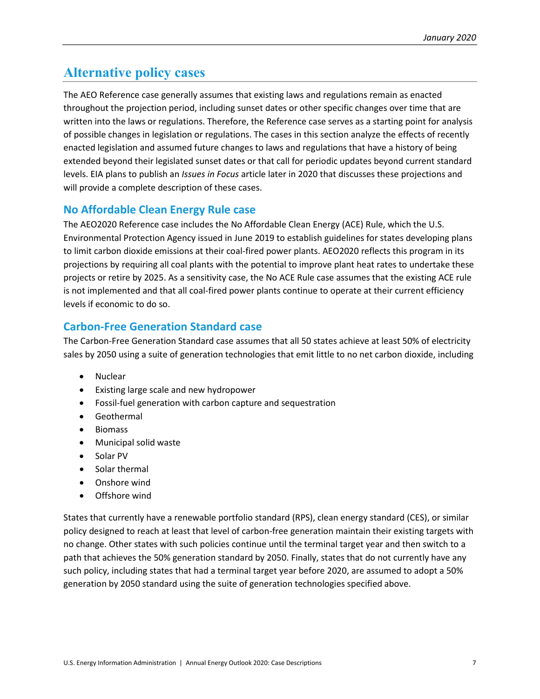# <span id="page-9-0"></span>**Alternative policy cases**

The AEO Reference case generally assumes that existing laws and regulations remain as enacted throughout the projection period, including sunset dates or other specific changes over time that are written into the laws or regulations. Therefore, the Reference case serves as a starting point for analysis of possible changes in legislation or regulations. The cases in this section analyze the effects of recently enacted legislation and assumed future changes to laws and regulations that have a history of being extended beyond their legislated sunset dates or that call for periodic updates beyond current standard levels. EIA plans to publish an *Issues in Focus* article later in 2020 that discusses these projections and will provide a complete description of these cases.

### <span id="page-9-1"></span>**No Affordable Clean Energy Rule case**

The AEO2020 Reference case includes the No Affordable Clean Energy (ACE) Rule, which the U.S. Environmental Protection Agency issued in June 2019 to establish guidelines for states developing plans to limit carbon dioxide emissions at their coal-fired power plants. AEO2020 reflects this program in its projections by requiring all coal plants with the potential to improve plant heat rates to undertake these projects or retire by 2025. As a sensitivity case, the No ACE Rule case assumes that the existing ACE rule is not implemented and that all coal-fired power plants continue to operate at their current efficiency levels if economic to do so.

### <span id="page-9-2"></span>**Carbon-Free Generation Standard case**

The Carbon-Free Generation Standard case assumes that all 50 states achieve at least 50% of electricity sales by 2050 using a suite of generation technologies that emit little to no net carbon dioxide, including

- Nuclear
- Existing large scale and new hydropower
- Fossil-fuel generation with carbon capture and sequestration
- Geothermal
- Biomass
- Municipal solid waste
- Solar PV
- Solar thermal
- Onshore wind
- Offshore wind

States that currently have a renewable portfolio standard (RPS), clean energy standard (CES), or similar policy designed to reach at least that level of carbon-free generation maintain their existing targets with no change. Other states with such policies continue until the terminal target year and then switch to a path that achieves the 50% generation standard by 2050. Finally, states that do not currently have any such policy, including states that had a terminal target year before 2020, are assumed to adopt a 50% generation by 2050 standard using the suite of generation technologies specified above.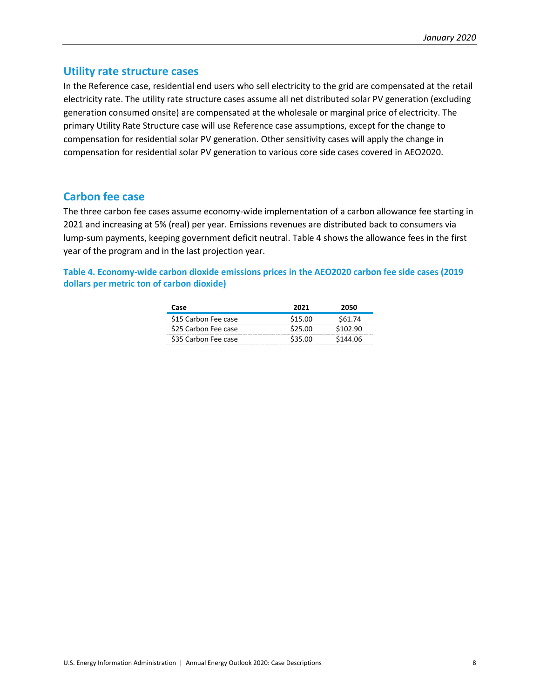#### <span id="page-10-0"></span>**Utility rate structure cases**

In the Reference case, residential end users who sell electricity to the grid are compensated at the retail electricity rate. The utility rate structure cases assume all net distributed solar PV generation (excluding generation consumed onsite) are compensated at the wholesale or marginal price of electricity. The primary Utility Rate Structure case will use Reference case assumptions, except for the change to compensation for residential solar PV generation. Other sensitivity cases will apply the change in compensation for residential solar PV generation to various core side cases covered in AEO2020.

#### <span id="page-10-1"></span>**Carbon fee case**

The three carbon fee cases assume economy-wide implementation of a carbon allowance fee starting in 2021 and increasing at 5% (real) per year. Emissions revenues are distributed back to consumers via lump-sum payments, keeping government deficit neutral. [Table 4](#page-10-2) shows the allowance fees in the first year of the program and in the last projection year.

<span id="page-10-2"></span>**Table 4. Economy-wide carbon dioxide emissions prices in the AEO2020 carbon fee side cases (2019 dollars per metric ton of carbon dioxide)**

| Case                 | 2021    | 2050     |
|----------------------|---------|----------|
| \$15 Carbon Fee case | \$15.00 | S61.74   |
| \$25 Carbon Fee case | \$25.00 | \$102.90 |
| \$35 Carbon Fee case | \$35.00 | \$144.06 |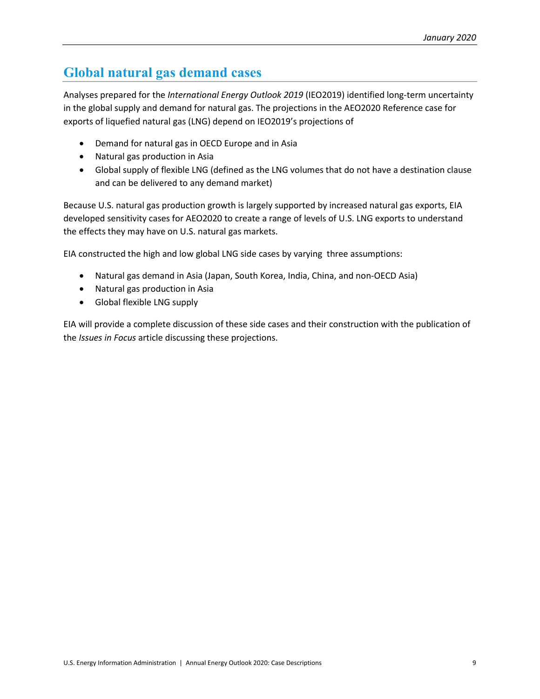# <span id="page-11-0"></span>**Global natural gas demand cases**

Analyses prepared for the *International Energy Outlook 2019* (IEO2019) identified long-term uncertainty in the global supply and demand for natural gas. The projections in the AEO2020 Reference case for exports of liquefied natural gas (LNG) depend on IEO2019's projections of

- Demand for natural gas in OECD Europe and in Asia
- Natural gas production in Asia
- Global supply of flexible LNG (defined as the LNG volumes that do not have a destination clause and can be delivered to any demand market)

Because U.S. natural gas production growth is largely supported by increased natural gas exports, EIA developed sensitivity cases for AEO2020 to create a range of levels of U.S. LNG exports to understand the effects they may have on U.S. natural gas markets.

EIA constructed the high and low global LNG side cases by varying three assumptions:

- Natural gas demand in Asia (Japan, South Korea, India, China, and non-OECD Asia)
- Natural gas production in Asia
- Global flexible LNG supply

EIA will provide a complete discussion of these side cases and their construction with the publication of the *Issues in Focus* article discussing these projections.